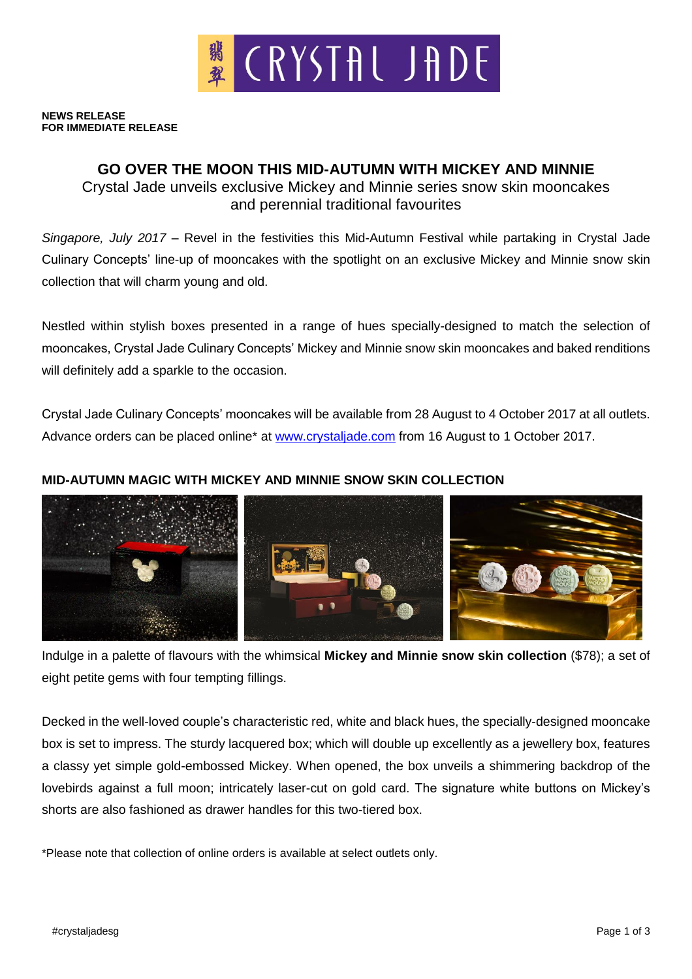

**NEWS RELEASE FOR IMMEDIATE RELEASE**

# **GO OVER THE MOON THIS MID-AUTUMN WITH MICKEY AND MINNIE**

Crystal Jade unveils exclusive Mickey and Minnie series snow skin mooncakes and perennial traditional favourites

*Singapore, July 2017* – Revel in the festivities this Mid-Autumn Festival while partaking in Crystal Jade Culinary Concepts' line-up of mooncakes with the spotlight on an exclusive Mickey and Minnie snow skin collection that will charm young and old.

Nestled within stylish boxes presented in a range of hues specially-designed to match the selection of mooncakes, Crystal Jade Culinary Concepts' Mickey and Minnie snow skin mooncakes and baked renditions will definitely add a sparkle to the occasion.

Crystal Jade Culinary Concepts' mooncakes will be available from 28 August to 4 October 2017 at all outlets. Advance orders can be placed online<sup>\*</sup> at [www.crystaljade.com](http://www.crystaljade.com/) from 16 August to 1 October 2017.

### **MID-AUTUMN MAGIC WITH MICKEY AND MINNIE SNOW SKIN COLLECTION**



Indulge in a palette of flavours with the whimsical **Mickey and Minnie snow skin collection** (\$78); a set of eight petite gems with four tempting fillings.

Decked in the well-loved couple's characteristic red, white and black hues, the specially-designed mooncake box is set to impress. The sturdy lacquered box; which will double up excellently as a jewellery box, features a classy yet simple gold-embossed Mickey. When opened, the box unveils a shimmering backdrop of the lovebirds against a full moon; intricately laser-cut on gold card. The signature white buttons on Mickey's shorts are also fashioned as drawer handles for this two-tiered box.

\*Please note that collection of online orders is available at select outlets only.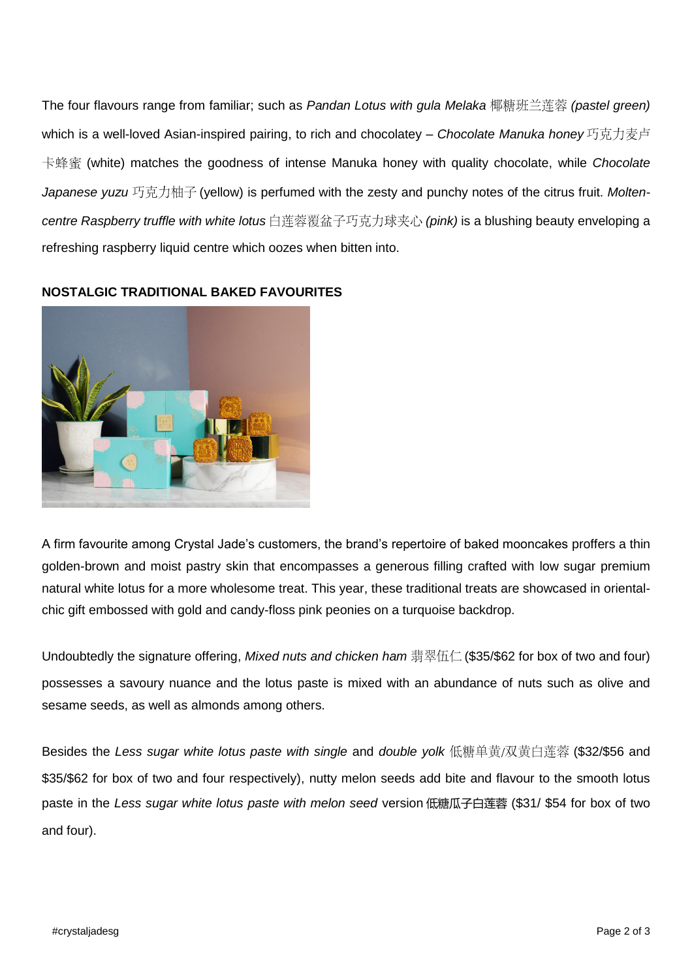The four flavours range from familiar; such as *Pandan Lotus with gula Melaka* 椰糖班兰莲蓉 (pastel green) which is a well-loved Asian-inspired pairing, to rich and chocolatey – *Chocolate Manuka honey* 巧克力麦卢 (white) matches the goodness of intense Manuka honey with quality chocolate, while *Chocolate*  Japanese yuzu 巧克力柚子 (yellow) is perfumed with the zesty and punchy notes of the citrus fruit. *Molten*centre Raspberry truffle with white lotus白莲蓉覆盆子巧克力球夹心 (pink) is a blushing beauty enveloping a refreshing raspberry liquid centre which oozes when bitten into.



## **NOSTALGIC TRADITIONAL BAKED FAVOURITES**

A firm favourite among Crystal Jade's customers, the brand's repertoire of baked mooncakes proffers a thin golden-brown and moist pastry skin that encompasses a generous filling crafted with low sugar premium natural white lotus for a more wholesome treat. This year, these traditional treats are showcased in orientalchic gift embossed with gold and candy-floss pink peonies on a turquoise backdrop.

Undoubtedly the signature offering, *Mixed nuts and chicken ham* 翡翠伍仁 (\$35/\$62 for box of two and four) possesses a savoury nuance and the lotus paste is mixed with an abundance of nuts such as olive and sesame seeds, as well as almonds among others.

Besides the Less sugar white lotus paste with single and double yolk 低糖单黄/双黄白莲蓉 (\$32/\$56 and \$35/\$62 for box of two and four respectively), nutty melon seeds add bite and flavour to the smooth lotus paste in the *Less sugar white lotus paste with melon seed* version 低糖瓜子白莲蓉 (\$31/ \$54 for box of two and four).